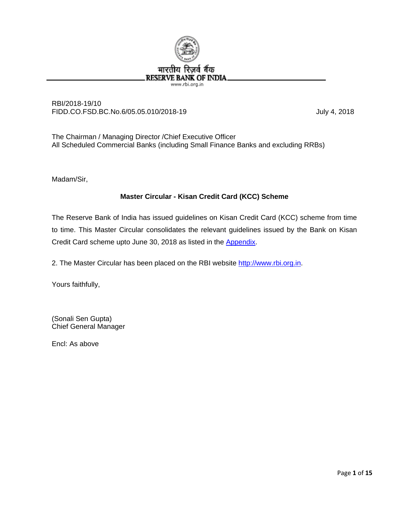

## RBI/2018-19/10 FIDD.CO.FSD.BC.No.6/05.05.010/2018-19 July 4, 2018

The Chairman / Managing Director /Chief Executive Officer All Scheduled Commercial Banks (including Small Finance Banks and excluding RRBs)

Madam/Sir,

# **Master Circular - Kisan Credit Card (KCC) Scheme**

The Reserve Bank of India has issued guidelines on Kisan Credit Card (KCC) scheme from time to time. This Master Circular consolidates the relevant guidelines issued by the Bank on Kisan Credit Card scheme upto June 30, 2018 as listed in the [Appendix.](#page-14-0)

2. The Master Circular has been placed on the RBI website [http://www.rbi.org.in.](http://www.rbi.org.in/)

Yours faithfully,

(Sonali Sen Gupta) Chief General Manager

Encl: As above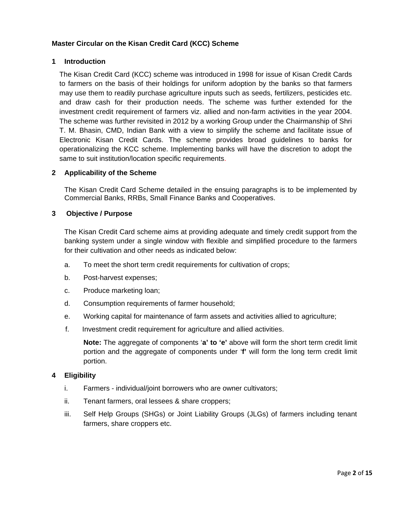# **Master Circular on the Kisan Credit Card (KCC) Scheme**

## **1 Introduction**

The Kisan Credit Card (KCC) scheme was introduced in 1998 for issue of Kisan Credit Cards to farmers on the basis of their holdings for uniform adoption by the banks so that farmers may use them to readily purchase agriculture inputs such as seeds, fertilizers, pesticides etc. and draw cash for their production needs. The scheme was further extended for the investment credit requirement of farmers viz. allied and non-farm activities in the year 2004. The scheme was further revisited in 2012 by a working Group under the Chairmanship of Shri T. M. Bhasin, CMD, Indian Bank with a view to simplify the scheme and facilitate issue of Electronic Kisan Credit Cards. The scheme provides broad guidelines to banks for operationalizing the KCC scheme. Implementing banks will have the discretion to adopt the same to suit institution/location specific requirements.

## **2 Applicability of the Scheme**

The Kisan Credit Card Scheme detailed in the ensuing paragraphs is to be implemented by Commercial Banks, RRBs, Small Finance Banks and Cooperatives.

## **3 Objective / Purpose**

The Kisan Credit Card scheme aims at providing adequate and timely credit support from the banking system under a single window with flexible and simplified procedure to the farmers for their cultivation and other needs as indicated below:

- a. To meet the short term credit requirements for cultivation of crops;
- b. Post-harvest expenses;
- c. Produce marketing loan;
- d. Consumption requirements of farmer household;
- e. Working capital for maintenance of farm assets and activities allied to agriculture;
- f. Investment credit requirement for agriculture and allied activities.

**Note:** The aggregate of components '**a' to 'e'** above will form the short term credit limit portion and the aggregate of components under '**f'** will form the long term credit limit portion.

## **4 Eligibility**

- i. Farmers individual/joint borrowers who are owner cultivators;
- ii. Tenant farmers, oral lessees & share croppers;
- iii. Self Help Groups (SHGs) or Joint Liability Groups (JLGs) of farmers including tenant farmers, share croppers etc.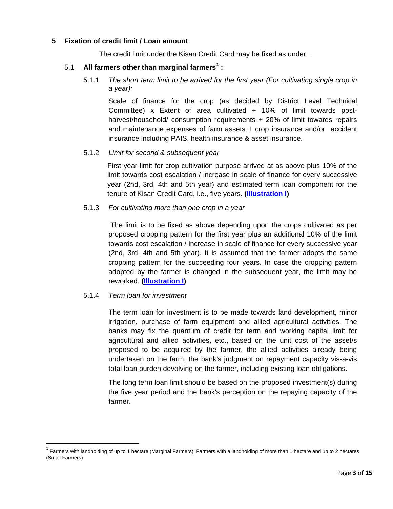## **5 Fixation of credit limit / Loan amount**

The credit limit under the Kisan Credit Card may be fixed as under :

#### 5.1 **All farmers other than marginal farmers[1](#page-2-0) :**

5.1.1 *The short term limit to be arrived for the first year (For cultivating single crop in a year):*

Scale of finance for the crop (as decided by District Level Technical Committee) x Extent of area cultivated + 10% of limit towards postharvest/household/ consumption requirements + 20% of limit towards repairs and maintenance expenses of farm assets + crop insurance and/or accident insurance including PAIS, health insurance & asset insurance.

#### 5.1.2 *Limit for second & subsequent year*

First year limit for crop cultivation purpose arrived at as above plus 10% of the limit towards cost escalation / increase in scale of finance for every successive year (2nd, 3rd, 4th and 5th year) and estimated term loan component for the tenure of Kisan Credit Card, i.e., five years. **[\(Illustration I\)](#page-7-0)**

#### 5.1.3 *For cultivating more than one crop in a year*

The limit is to be fixed as above depending upon the crops cultivated as per proposed cropping pattern for the first year plus an additional 10% of the limit towards cost escalation / increase in scale of finance for every successive year (2nd, 3rd, 4th and 5th year). It is assumed that the farmer adopts the same cropping pattern for the succeeding four years. In case the cropping pattern adopted by the farmer is changed in the subsequent year, the limit may be reworked. **[\(Illustration I\)](#page-7-0)**

#### 5.1.4 *Term loan for investment*

The term loan for investment is to be made towards land development, minor irrigation, purchase of farm equipment and allied agricultural activities. The banks may fix the quantum of credit for term and working capital limit for agricultural and allied activities, etc., based on the unit cost of the asset/s proposed to be acquired by the farmer, the allied activities already being undertaken on the farm, the bank's judgment on repayment capacity vis-a-vis total loan burden devolving on the farmer, including existing loan obligations.

The long term loan limit should be based on the proposed investment(s) during the five year period and the bank's perception on the repaying capacity of the farmer.

<span id="page-2-0"></span> $1$  Farmers with landholding of up to 1 hectare (Marginal Farmers). Farmers with a landholding of more than 1 hectare and up to 2 hectares (Small Farmers).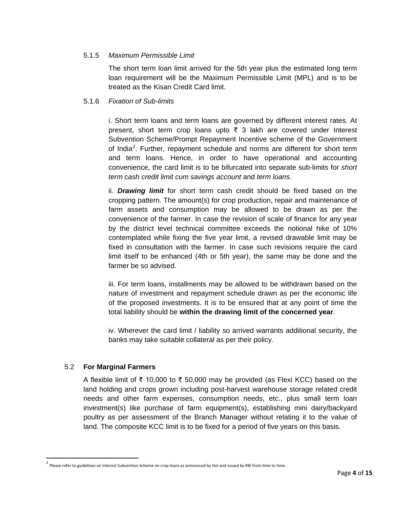## 5.1.5 *Maximum Permissible Limit*

The short term loan limit arrived for the 5th year plus the estimated long term loan requirement will be the Maximum Permissible Limit (MPL) and is to be treated as the Kisan Credit Card limit.

# 5.1.6 *Fixation of Sub-limits*

i. Short term loans and term loans are governed by different interest rates. At present, short term crop loans upto  $\overline{z}$  3 lakh are covered under Interest Subvention Scheme/Prompt Repayment Incentive scheme of the Government of India<sup>[2](#page-3-0)</sup>. Further, repayment schedule and norms are different for short term and term loans. Hence, in order to have operational and accounting convenience, the card limit is to be bifurcated into separate sub-limits for *short term cash credit limit cum savings account* and *term loans*.

ii. *Drawing limit* for short term cash credit should be fixed based on the cropping pattern. The amount(s) for crop production, repair and maintenance of farm assets and consumption may be allowed to be drawn as per the convenience of the farmer. In case the revision of scale of finance for any year by the district level technical committee exceeds the notional hike of 10% contemplated while fixing the five year limit, a revised drawable limit may be fixed in consultation with the farmer. In case such revisions require the card limit itself to be enhanced (4th or 5th year), the same may be done and the farmer be so advised.

iii. For term loans, installments may be allowed to be withdrawn based on the nature of investment and repayment schedule drawn as per the economic life of the proposed investments. It is to be ensured that at any point of time the total liability should be **within the drawing limit of the concerned year**.

iv. Wherever the card limit / liability so arrived warrants additional security, the banks may take suitable collateral as per their policy.

## 5.2 **For Marginal Farmers**

A flexible limit of ₹ 10,000 to ₹ 50,000 may be provided (as Flexi KCC) based on the land holding and crops grown including post-harvest warehouse storage related credit needs and other farm expenses, consumption needs, etc., plus small term loan investment(s) like purchase of farm equipment(s), establishing mini dairy/backyard poultry as per assessment of the Branch Manager without relating it to the value of land. The composite KCC limit is to be fixed for a period of five years on this basis.

<span id="page-3-0"></span> $^2$  Please refer to guidelines on Interest Subvention Scheme on crop loans as announced by GoI and issued by RBI from time to time.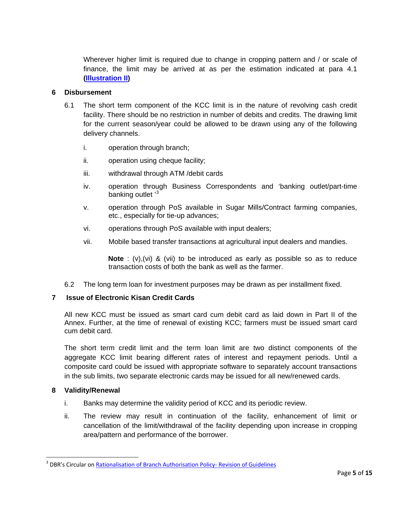Wherever higher limit is required due to change in cropping pattern and / or scale of finance, the limit may be arrived at as per the estimation indicated at para 4.1 **[\(Illustration II\)](#page-10-0)**

#### **6 Disbursement**

- 6.1 The short term component of the KCC limit is in the nature of revolving cash credit facility. There should be no restriction in number of debits and credits. The drawing limit for the current season/year could be allowed to be drawn using any of the following delivery channels.
	- i. operation through branch;
	- ii. operation using cheque facility;
	- iii. withdrawal through ATM /debit cards
	- iv. operation through Business Correspondents and 'banking outlet/part-time banking outlet '<sup>[3](#page-4-0)</sup>
	- v. operation through PoS available in Sugar Mills/Contract farming companies, etc., especially for tie-up advances;
	- vi. operations through PoS available with input dealers;
	- vii. Mobile based transfer transactions at agricultural input dealers and mandies.

**Note** : (v),(vi) & (vii) to be introduced as early as possible so as to reduce transaction costs of both the bank as well as the farmer.

6.2 The long term loan for investment purposes may be drawn as per installment fixed.

## **7 Issue of Electronic Kisan Credit Cards**

All new KCC must be issued as smart card cum debit card as laid down in Part II of the Annex. Further, at the time of renewal of existing KCC; farmers must be issued smart card cum debit card.

The short term credit limit and the term loan limit are two distinct components of the aggregate KCC limit bearing different rates of interest and repayment periods. Until a composite card could be issued with appropriate software to separately account transactions in the sub limits, two separate electronic cards may be issued for all new/renewed cards.

#### **8 Validity/Renewal**

- i. Banks may determine the validity period of KCC and its periodic review.
- ii. The review may result in continuation of the facility, enhancement of limit or cancellation of the limit/withdrawal of the facility depending upon increase in cropping area/pattern and performance of the borrower.

<span id="page-4-0"></span><sup>&</sup>lt;sup>3</sup> DBR's Circular o[n Rationalisation of Branch Authorisation Policy-](https://www.rbi.org.in/Scripts/NotificationUser.aspx?Id=10972&Mode=0) Revision of Guidelines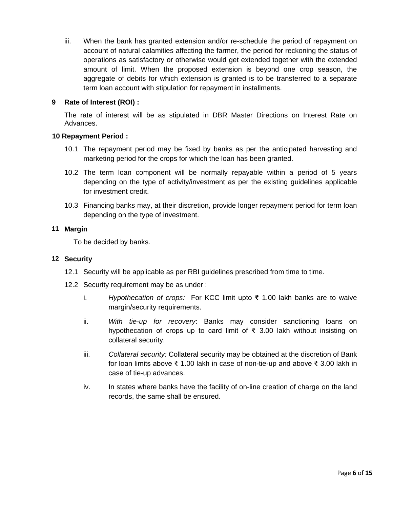iii. When the bank has granted extension and/or re-schedule the period of repayment on account of natural calamities affecting the farmer, the period for reckoning the status of operations as satisfactory or otherwise would get extended together with the extended amount of limit. When the proposed extension is beyond one crop season, the aggregate of debits for which extension is granted is to be transferred to a separate term loan account with stipulation for repayment in installments.

## **9 Rate of Interest (ROI) :**

The rate of interest will be as stipulated in DBR Master Directions on Interest Rate on Advances.

## **10 Repayment Period :**

- 10.1 The repayment period may be fixed by banks as per the anticipated harvesting and marketing period for the crops for which the loan has been granted.
- 10.2 The term loan component will be normally repayable within a period of 5 years depending on the type of activity/investment as per the existing guidelines applicable for investment credit.
- 10.3 Financing banks may, at their discretion, provide longer repayment period for term loan depending on the type of investment.

## **11 Margin**

To be decided by banks.

## **12 Security**

- 12.1 Security will be applicable as per RBI guidelines prescribed from time to time.
- 12.2 Security requirement may be as under :
	- i. *Hypothecation of crops:* For KCC limit upto ₹ 1.00 lakh banks are to waive margin/security requirements.
	- ii. *With tie-up for recovery*: Banks may consider sanctioning loans on hypothecation of crops up to card limit of ₹ 3.00 lakh without insisting on collateral security.
	- iii. *Collateral security:* Collateral security may be obtained at the discretion of Bank for loan limits above ₹ 1.00 lakh in case of non-tie-up and above ₹ 3.00 lakh in case of tie-up advances.
	- iv. In states where banks have the facility of on-line creation of charge on the land records, the same shall be ensured.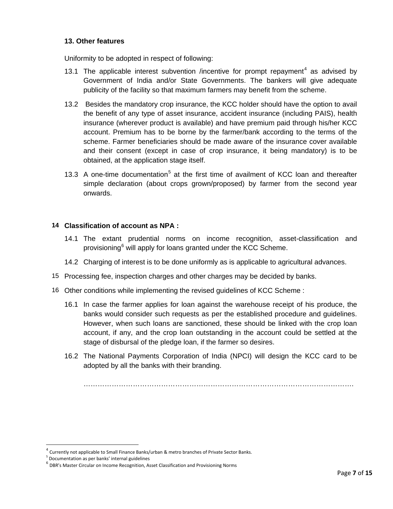#### **13. Other features**

Uniformity to be adopted in respect of following:

- 13.1 The applicable interest subvention /incentive for prompt repayment<sup>[4](#page-6-0)</sup> as advised by Government of India and/or State Governments. The bankers will give adequate publicity of the facility so that maximum farmers may benefit from the scheme.
- 13.2 Besides the mandatory crop insurance, the KCC holder should have the option to avail the benefit of any type of asset insurance, accident insurance (including PAIS), health insurance (wherever product is available) and have premium paid through his/her KCC account. Premium has to be borne by the farmer/bank according to the terms of the scheme. Farmer beneficiaries should be made aware of the insurance cover available and their consent (except in case of crop insurance, it being mandatory) is to be obtained, at the application stage itself.
- 13.3 A one-time documentation<sup>[5](#page-6-1)</sup> at the first time of availment of KCC loan and thereafter simple declaration (about crops grown/proposed) by farmer from the second year onwards.

#### **14 Classification of account as NPA :**

- 14.1 The extant prudential norms on income recognition, asset-classification and provisioning<sup>[6](#page-6-2)</sup> will apply for loans granted under the KCC Scheme.
- 14.2 Charging of interest is to be done uniformly as is applicable to agricultural advances.
- 15 Processing fee, inspection charges and other charges may be decided by banks.
- 16 Other conditions while implementing the revised guidelines of KCC Scheme :
	- 16.1 In case the farmer applies for loan against the warehouse receipt of his produce, the banks would consider such requests as per the established procedure and guidelines. However, when such loans are sanctioned, these should be linked with the crop loan account, if any, and the crop loan outstanding in the account could be settled at the stage of disbursal of the pledge loan, if the farmer so desires.
	- 16.2 The National Payments Corporation of India (NPCI) will design the KCC card to be adopted by all the banks with their branding.

…………………………………………………………………………………………………….

<span id="page-6-0"></span> $^4$  Currently not applicable to Small Finance Banks/urban & metro branches of Private Sector Banks.<br><sup>5</sup> Documentation as per banks' internal guidelines

<span id="page-6-1"></span>

<span id="page-6-2"></span><sup>6</sup> DOC:<br><sup>6</sup> DBR's Master Circular on Income Recognition, Asset Classification and Provisioning Norms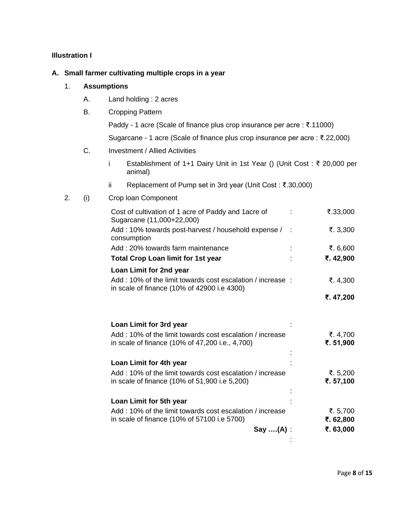## <span id="page-7-0"></span>**Illustration I**

#### **A. Small farmer cultivating multiple crops in a year**

## 1. **Assumptions**

- A. Land holding : 2 acres
- B. Cropping Pattern

Paddy - 1 acre (Scale of finance plus crop insurance per acre : ₹.11000)

Sugarcane - 1 acre (Scale of finance plus crop insurance per acre : ₹.22,000)

- C. Investment / Allied Activities
	- i Establishment of 1+1 Dairy Unit in 1st Year () (Unit Cost : ₹ 20,000 per animal)
	- ii Replacement of Pump set in 3rd year (Unit Cost : ₹.30,000)

#### 2. (i) Crop loan Component

| Cost of cultivation of 1 acre of Paddy and 1 acre of<br>Sugarcane (11,000+22,000)                        |                | ₹.33,000   |
|----------------------------------------------------------------------------------------------------------|----------------|------------|
| Add: 10% towards post-harvest / household expense /<br>consumption                                       | $\mathbb{R}^2$ | ₹. 3,300   |
| Add: 20% towards farm maintenance                                                                        |                | ₹. $6,600$ |
| <b>Total Crop Loan limit for 1st year</b>                                                                |                | ₹.42,900   |
| Loan Limit for 2nd year                                                                                  |                |            |
| Add: 10% of the limit towards cost escalation / increase:<br>in scale of finance (10% of 42900 i.e 4300) |                | ₹. 4,300   |
|                                                                                                          |                | ₹.47,200   |
|                                                                                                          |                |            |
| Loan Limit for 3rd year                                                                                  |                |            |
| Add: 10% of the limit towards cost escalation / increase                                                 |                | ₹. $4,700$ |
| in scale of finance (10% of 47,200 i.e., 4,700)                                                          |                | ₹.51,900   |
|                                                                                                          |                |            |
| Loan Limit for 4th year                                                                                  |                |            |
| Add: 10% of the limit towards cost escalation / increase                                                 |                | ₹.5,200    |
| in scale of finance (10% of 51,900 i.e 5,200)                                                            |                | ₹.57,100   |
| Loan Limit for 5th year                                                                                  |                |            |
| Add: 10% of the limit towards cost escalation / increase                                                 |                | ₹.5,700    |
| in scale of finance (10% of 57100 i.e 5700)                                                              |                | ₹. 62,800  |
| $Say$ $(A)$ :                                                                                            |                | ₹. 63,000  |
|                                                                                                          |                |            |
|                                                                                                          |                |            |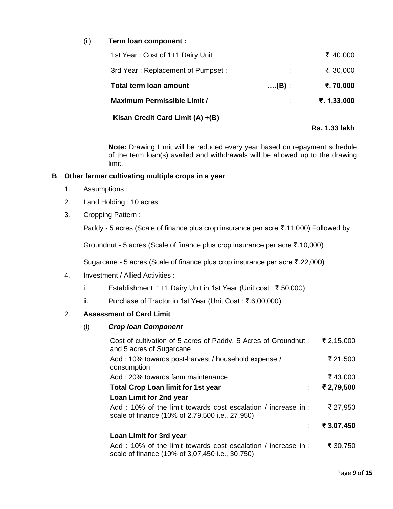## (ii) **Term loan component :**

| 1st Year: Cost of 1+1 Dairy Unit   |              | ₹. 40,000            |
|------------------------------------|--------------|----------------------|
| 3rd Year: Replacement of Pumpset:  | ÷            | ₹. 30,000            |
| Total term Ioan amount             | $\dots(B)$ : | ₹.70,000             |
| <b>Maximum Permissible Limit /</b> |              | ₹. $1,33,000$        |
| Kisan Credit Card Limit (A) +(B)   |              |                      |
|                                    |              | <b>Rs. 1.33 lakh</b> |

**Note:** Drawing Limit will be reduced every year based on repayment schedule of the term loan(s) availed and withdrawals will be allowed up to the drawing limit.

#### **B Other farmer cultivating multiple crops in a year**

- 1. Assumptions :
- 2. Land Holding : 10 acres
- 3. Cropping Pattern :

Paddy - 5 acres (Scale of finance plus crop insurance per acre ₹.11,000) Followed by

Groundnut - 5 acres (Scale of finance plus crop insurance per acre ₹.10,000)

Sugarcane - 5 acres (Scale of finance plus crop insurance per acre ₹.22,000)

- 4. Investment / Allied Activities :
	- i. Establishment 1+1 Dairy Unit in 1st Year (Unit cost : ₹.50,000)
	- ii. Purchase of Tractor in 1st Year (Unit Cost : ₹.6,00,000)

#### 2. **Assessment of Card Limit**

#### (i) *Crop loan Component*

| Cost of cultivation of 5 acres of Paddy, 5 Acres of Groundnut:<br>and 5 acres of Sugarcane                      | ₹ 2,15,000    |
|-----------------------------------------------------------------------------------------------------------------|---------------|
| Add: 10% towards post-harvest / household expense /<br>$\sim 1000$<br>consumption                               | ₹ 21,500      |
| Add: 20% towards farm maintenance                                                                               | ₹43,000<br>÷. |
| <b>Total Crop Loan limit for 1st year</b>                                                                       | ₹ 2,79,500    |
| Loan Limit for 2nd year                                                                                         |               |
| Add: 10% of the limit towards cost escalation / increase in:<br>scale of finance (10% of 2,79,500 i.e., 27,950) | ₹ 27,950      |
|                                                                                                                 | ₹ 3,07,450    |
| Loan Limit for 3rd year                                                                                         |               |
| Add: 10% of the limit towards cost escalation / increase in:<br>scale of finance (10% of 3,07,450 i.e., 30,750) | ₹ 30,750      |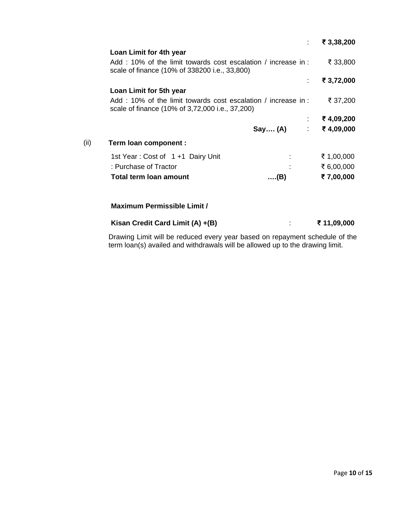|      |                                                                                                                 |         | ₹ 3,38,200           |
|------|-----------------------------------------------------------------------------------------------------------------|---------|----------------------|
|      | Loan Limit for 4th year                                                                                         |         |                      |
|      | Add: 10% of the limit towards cost escalation / increase in:<br>scale of finance (10% of 338200 i.e., 33,800)   |         | ₹ 33,800             |
|      |                                                                                                                 | ÷       | ₹ 3,72,000           |
|      | Loan Limit for 5th year                                                                                         |         |                      |
|      | Add: 10% of the limit towards cost escalation / increase in:<br>scale of finance (10% of 3,72,000 i.e., 37,200) |         | ₹ 37,200             |
|      |                                                                                                                 |         | ₹4,09,200            |
|      |                                                                                                                 | Say (A) | ₹4,09,000<br>$1 - 1$ |
| (ii) | Term loan component :                                                                                           |         |                      |
|      | 1st Year: Cost of 1 +1 Dairy Unit                                                                               |         | ₹ 1,00,000           |
|      | : Purchase of Tractor                                                                                           |         | ₹ 6,00,000           |
|      | <b>Total term loan amount</b>                                                                                   | (B)     | ₹7,00,000            |
|      | <b>Maximum Permissible Limit /</b>                                                                              |         |                      |
|      |                                                                                                                 |         |                      |
|      | Kisan Credit Card Limit (A) +(B)                                                                                |         | ₹ 11,09,000          |

Drawing Limit will be reduced every year based on repayment schedule of the term loan(s) availed and withdrawals will be allowed up to the drawing limit.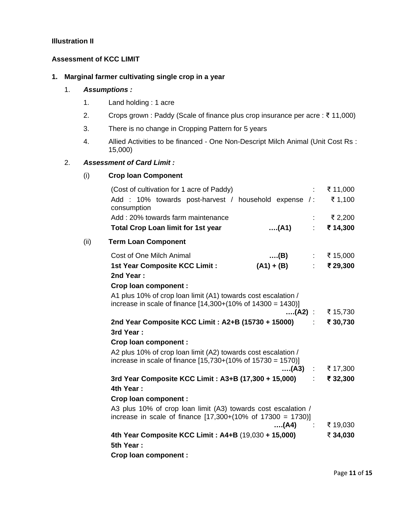#### <span id="page-10-0"></span>**Illustration II**

#### **Assessment of KCC LIMIT**

# **1. Marginal farmer cultivating single crop in a year**

#### 1. *Assumptions :*

- 1. Land holding : 1 acre
- 2. Crops grown : Paddy (Scale of finance plus crop insurance per acre : ₹ 11,000)
- 3. There is no change in Cropping Pattern for 5 years
- 4. Allied Activities to be financed One Non-Descript Milch Animal (Unit Cost Rs : 15,000)

#### 2. *Assessment of Card Limit :*

#### (i) **Crop loan Component**

|      | (Cost of cultivation for 1 acre of Paddy)<br>Add: 10% towards post-harvest / household expense /:<br>consumption                         |                      | ₹ 11,000<br>₹ 1,100          |
|------|------------------------------------------------------------------------------------------------------------------------------------------|----------------------|------------------------------|
|      | Add: 20% towards farm maintenance                                                                                                        |                      | ₹ 2,200                      |
|      | <b>Total Crop Loan limit for 1st year</b>                                                                                                | (A1)                 | ₹ 14,300<br>$\mathbb{R}^{n}$ |
| (ii) | <b>Term Loan Component</b>                                                                                                               |                      |                              |
|      | Cost of One Milch Animal                                                                                                                 | …(B)                 | : ₹15,000                    |
|      | 1st Year Composite KCC Limit :<br>2nd Year:                                                                                              | $(A1) + (B)$         | $\div$ ₹ 29,300              |
|      | Crop loan component :                                                                                                                    |                      |                              |
|      | A1 plus 10% of crop loan limit (A1) towards cost escalation /<br>increase in scale of finance $[14,300+(10\% \text{ of } 14300 = 1430)]$ |                      |                              |
|      |                                                                                                                                          |                      | (A2) : ₹ 15,730              |
|      | 2nd Year Composite KCC Limit: A2+B (15730 + 15000)                                                                                       |                      | ₹ 30,730                     |
|      | 3rd Year:                                                                                                                                |                      |                              |
|      | Crop loan component :                                                                                                                    |                      |                              |
|      | A2 plus 10% of crop loan limit (A2) towards cost escalation /<br>increase in scale of finance $[15,730+(10\% \text{ of } 15730 = 1570)]$ |                      |                              |
|      |                                                                                                                                          | $(A3)$ :             | ₹ 17,300                     |
|      | 3rd Year Composite KCC Limit: A3+B (17,300 + 15,000)                                                                                     |                      | ₹ 32,300<br>tin 1            |
|      | 4th Year:                                                                                                                                |                      |                              |
|      | <b>Crop loan component:</b>                                                                                                              |                      |                              |
|      | A3 plus 10% of crop loan limit (A3) towards cost escalation /<br>increase in scale of finance $[17,300+(10\% \text{ of } 17300 = 1730)]$ |                      |                              |
|      |                                                                                                                                          | …(A4)<br>$\sim 1000$ | ₹ 19,030                     |
|      | 4th Year Composite KCC Limit: A4+B (19,030 + 15,000)<br>5th Year:                                                                        |                      | ₹ 34,030                     |
|      | <b>Crop loan component:</b>                                                                                                              |                      |                              |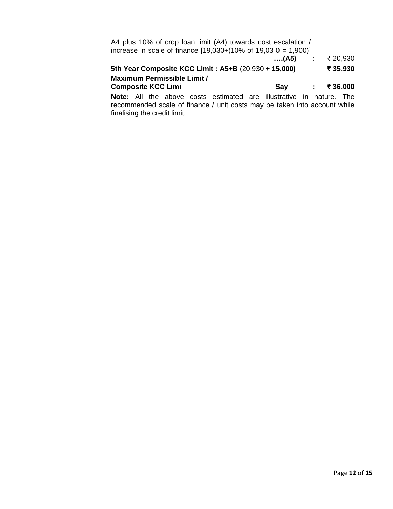| A4 plus 10% of crop loan limit (A4) towards cost escalation /<br>increase in scale of finance $[19,030+(10\% \text{ of } 19,03 \text{ O } = 1,900)]$ |        |            |                 |
|------------------------------------------------------------------------------------------------------------------------------------------------------|--------|------------|-----------------|
|                                                                                                                                                      | ….(A5) | $\sim 100$ | ₹ 20,930        |
| 5th Year Composite KCC Limit: A5+B (20,930 + 15,000)                                                                                                 |        |            | ₹ 35,930        |
| Maximum Permissible Limit /                                                                                                                          |        |            |                 |
| <b>Composite KCC Limi</b>                                                                                                                            | Say    |            | $\div$ ₹ 36,000 |
| Note: All the above costs estimated are illustrative in nature                                                                                       |        |            | Th≙             |

**Note:** All the above costs estimated are illustrative in nature. The recommended scale of finance / unit costs may be taken into account while finalising the credit limit.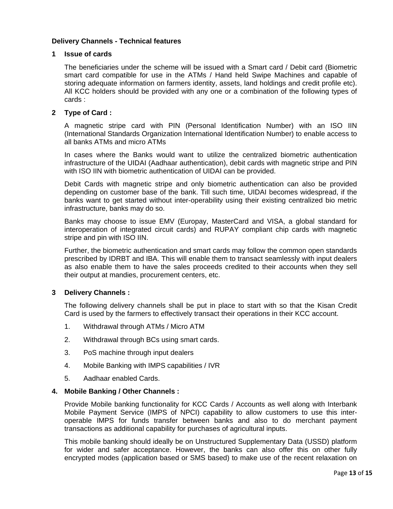#### **Delivery Channels - Technical features**

#### **1 Issue of cards**

The beneficiaries under the scheme will be issued with a Smart card / Debit card (Biometric smart card compatible for use in the ATMs / Hand held Swipe Machines and capable of storing adequate information on farmers identity, assets, land holdings and credit profile etc). All KCC holders should be provided with any one or a combination of the following types of cards :

#### **2 Type of Card :**

A magnetic stripe card with PIN (Personal Identification Number) with an ISO IIN (International Standards Organization International Identification Number) to enable access to all banks ATMs and micro ATMs

In cases where the Banks would want to utilize the centralized biometric authentication infrastructure of the UIDAI (Aadhaar authentication), debit cards with magnetic stripe and PIN with ISO IIN with biometric authentication of UIDAI can be provided.

Debit Cards with magnetic stripe and only biometric authentication can also be provided depending on customer base of the bank. Till such time, UIDAI becomes widespread, if the banks want to get started without inter-operability using their existing centralized bio metric infrastructure, banks may do so.

Banks may choose to issue EMV (Europay, MasterCard and VISA, a global standard for interoperation of integrated circuit cards) and RUPAY compliant chip cards with magnetic stripe and pin with ISO IIN.

Further, the biometric authentication and smart cards may follow the common open standards prescribed by IDRBT and IBA. This will enable them to transact seamlessly with input dealers as also enable them to have the sales proceeds credited to their accounts when they sell their output at mandies, procurement centers, etc.

## **3 Delivery Channels :**

The following delivery channels shall be put in place to start with so that the Kisan Credit Card is used by the farmers to effectively transact their operations in their KCC account.

- 1. Withdrawal through ATMs / Micro ATM
- 2. Withdrawal through BCs using smart cards.
- 3. PoS machine through input dealers
- 4. Mobile Banking with IMPS capabilities / IVR
- 5. Aadhaar enabled Cards.

#### **4. Mobile Banking / Other Channels :**

Provide Mobile banking functionality for KCC Cards / Accounts as well along with Interbank Mobile Payment Service (IMPS of NPCI) capability to allow customers to use this interoperable IMPS for funds transfer between banks and also to do merchant payment transactions as additional capability for purchases of agricultural inputs.

This mobile banking should ideally be on Unstructured Supplementary Data (USSD) platform for wider and safer acceptance. However, the banks can also offer this on other fully encrypted modes (application based or SMS based) to make use of the recent relaxation on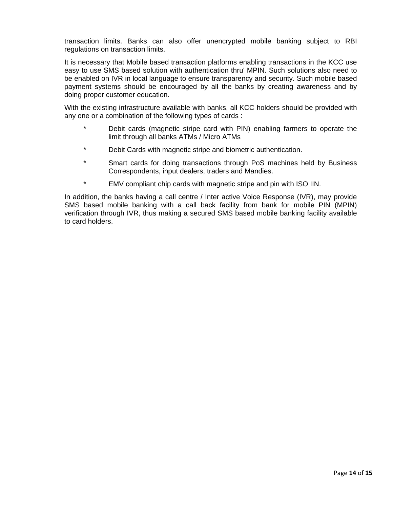transaction limits. Banks can also offer unencrypted mobile banking subject to RBI regulations on transaction limits.

It is necessary that Mobile based transaction platforms enabling transactions in the KCC use easy to use SMS based solution with authentication thru' MPIN. Such solutions also need to be enabled on IVR in local language to ensure transparency and security. Such mobile based payment systems should be encouraged by all the banks by creating awareness and by doing proper customer education.

With the existing infrastructure available with banks, all KCC holders should be provided with any one or a combination of the following types of cards :

- \* Debit cards (magnetic stripe card with PIN) enabling farmers to operate the limit through all banks ATMs / Micro ATMs
- \* Debit Cards with magnetic stripe and biometric authentication.
- \* Smart cards for doing transactions through PoS machines held by Business Correspondents, input dealers, traders and Mandies.
- \* EMV compliant chip cards with magnetic stripe and pin with ISO IIN.

In addition, the banks having a call centre / Inter active Voice Response (IVR), may provide SMS based mobile banking with a call back facility from bank for mobile PIN (MPIN) verification through IVR, thus making a secured SMS based mobile banking facility available to card holders.